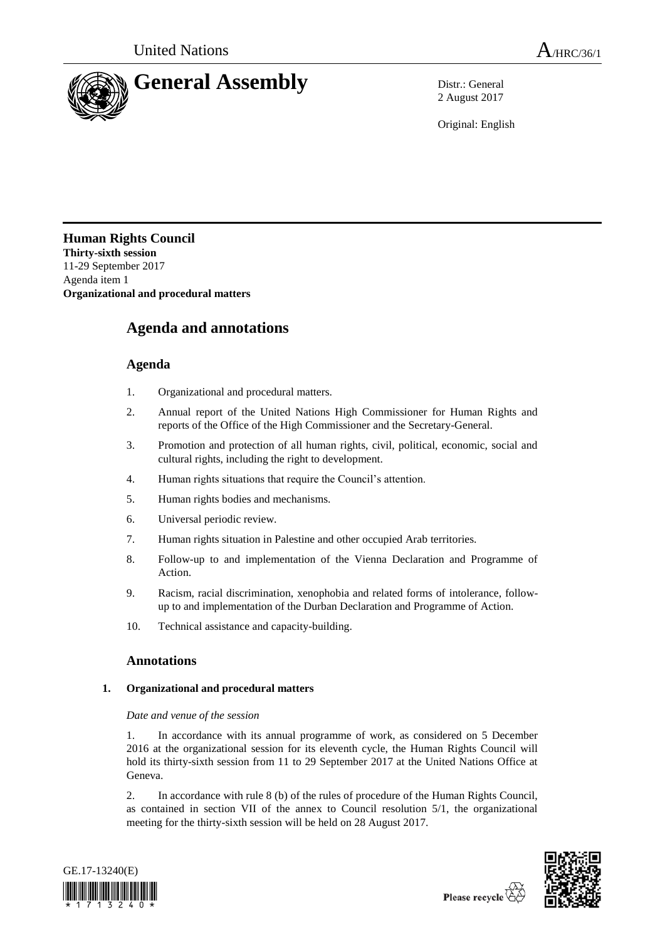

2 August 2017

Original: English

## **Human Rights Council Thirty-sixth session** 11-29 September 2017 Agenda item 1 **Organizational and procedural matters**

# **Agenda and annotations**

## **Agenda**

- 1. Organizational and procedural matters.
- 2. Annual report of the United Nations High Commissioner for Human Rights and reports of the Office of the High Commissioner and the Secretary-General.
- 3. Promotion and protection of all human rights, civil, political, economic, social and cultural rights, including the right to development.
- 4. Human rights situations that require the Council's attention.
- 5. Human rights bodies and mechanisms.
- 6. Universal periodic review.
- 7. Human rights situation in Palestine and other occupied Arab territories.
- 8. Follow-up to and implementation of the Vienna Declaration and Programme of Action.
- 9. Racism, racial discrimination, xenophobia and related forms of intolerance, followup to and implementation of the Durban Declaration and Programme of Action.
- 10. Technical assistance and capacity-building.

## **Annotations**

## **1. Organizational and procedural matters**

## *Date and venue of the session*

1. In accordance with its annual programme of work, as considered on 5 December 2016 at the organizational session for its eleventh cycle, the Human Rights Council will hold its thirty-sixth session from 11 to 29 September 2017 at the United Nations Office at Geneva.

2. In accordance with rule 8 (b) of the rules of procedure of the Human Rights Council, as contained in section VII of the annex to Council resolution 5/1, the organizational meeting for the thirty-sixth session will be held on 28 August 2017.



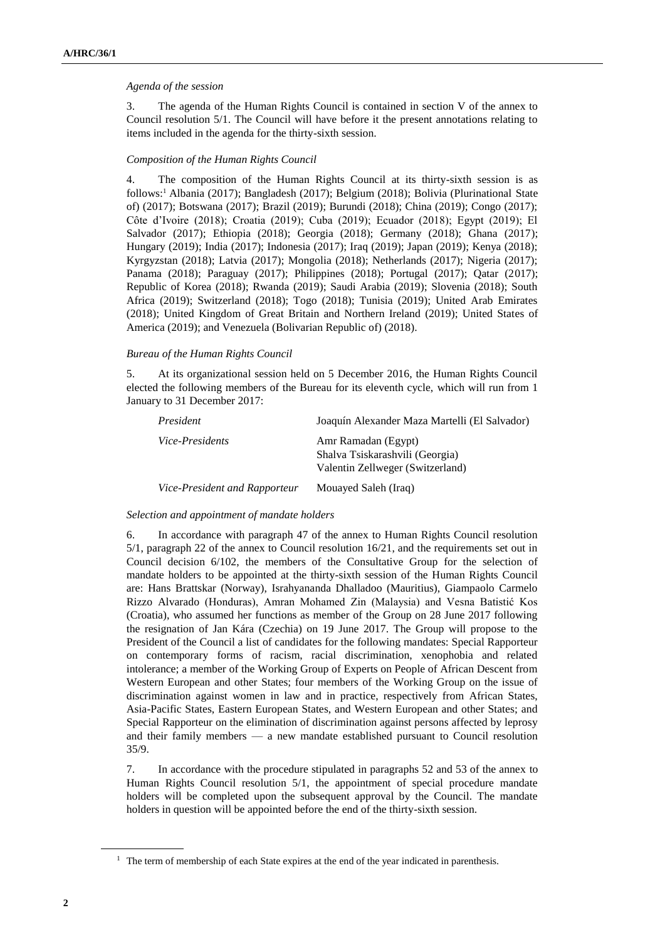## *Agenda of the session*

3. The agenda of the Human Rights Council is contained in section V of the annex to Council resolution 5/1. The Council will have before it the present annotations relating to items included in the agenda for the thirty-sixth session.

## *Composition of the Human Rights Council*

4. The composition of the Human Rights Council at its thirty-sixth session is as follows:<sup>1</sup> Albania (2017); Bangladesh (2017); Belgium (2018); Bolivia (Plurinational State of) (2017); Botswana (2017); Brazil (2019); Burundi (2018); China (2019); Congo (2017); Côte d'Ivoire (2018); Croatia (2019); Cuba (2019); Ecuador (2018); Egypt (2019); El Salvador (2017); Ethiopia (2018); Georgia (2018); Germany (2018); Ghana (2017); Hungary (2019); India (2017); Indonesia (2017); Iraq (2019); Japan (2019); Kenya (2018); Kyrgyzstan (2018); Latvia (2017); Mongolia (2018); Netherlands (2017); Nigeria (2017); Panama (2018); Paraguay (2017); Philippines (2018); Portugal (2017); Qatar (2017); Republic of Korea (2018); Rwanda (2019); Saudi Arabia (2019); Slovenia (2018); South Africa (2019); Switzerland (2018); Togo (2018); Tunisia (2019); United Arab Emirates (2018); United Kingdom of Great Britain and Northern Ireland (2019); United States of America (2019); and Venezuela (Bolivarian Republic of) (2018).

## *Bureau of the Human Rights Council*

5. At its organizational session held on 5 December 2016, the Human Rights Council elected the following members of the Bureau for its eleventh cycle, which will run from 1 January to 31 December 2017:

| President                     | Joaquín Alexander Maza Martelli (El Salvador)                                              |
|-------------------------------|--------------------------------------------------------------------------------------------|
| <i>Vice-Presidents</i>        | Amr Ramadan (Egypt)<br>Shalva Tsiskarashvili (Georgia)<br>Valentin Zellweger (Switzerland) |
| Vice-President and Rapporteur | Mouayed Saleh (Iraq)                                                                       |

## *Selection and appointment of mandate holders*

6. In accordance with paragraph 47 of the annex to Human Rights Council resolution 5/1, paragraph 22 of the annex to Council resolution 16/21, and the requirements set out in Council decision 6/102, the members of the Consultative Group for the selection of mandate holders to be appointed at the thirty-sixth session of the Human Rights Council are: Hans Brattskar (Norway), Israhyananda Dhalladoo (Mauritius), Giampaolo Carmelo Rizzo Alvarado (Honduras), Amran Mohamed Zin (Malaysia) and Vesna Batistić Kos (Croatia), who assumed her functions as member of the Group on 28 June 2017 following the resignation of Jan Kára (Czechia) on 19 June 2017. The Group will propose to the President of the Council a list of candidates for the following mandates: Special Rapporteur on contemporary forms of racism, racial discrimination, xenophobia and related intolerance; a member of the Working Group of Experts on People of African Descent from Western European and other States; four members of the Working Group on the issue of discrimination against women in law and in practice, respectively from African States, Asia-Pacific States, Eastern European States, and Western European and other States; and Special Rapporteur on the elimination of discrimination against persons affected by leprosy and their family members — a new mandate established pursuant to Council resolution 35/9.

7. In accordance with the procedure stipulated in paragraphs 52 and 53 of the annex to Human Rights Council resolution 5/1, the appointment of special procedure mandate holders will be completed upon the subsequent approval by the Council. The mandate holders in question will be appointed before the end of the thirty-sixth session.

<sup>&</sup>lt;sup>1</sup> The term of membership of each State expires at the end of the year indicated in parenthesis.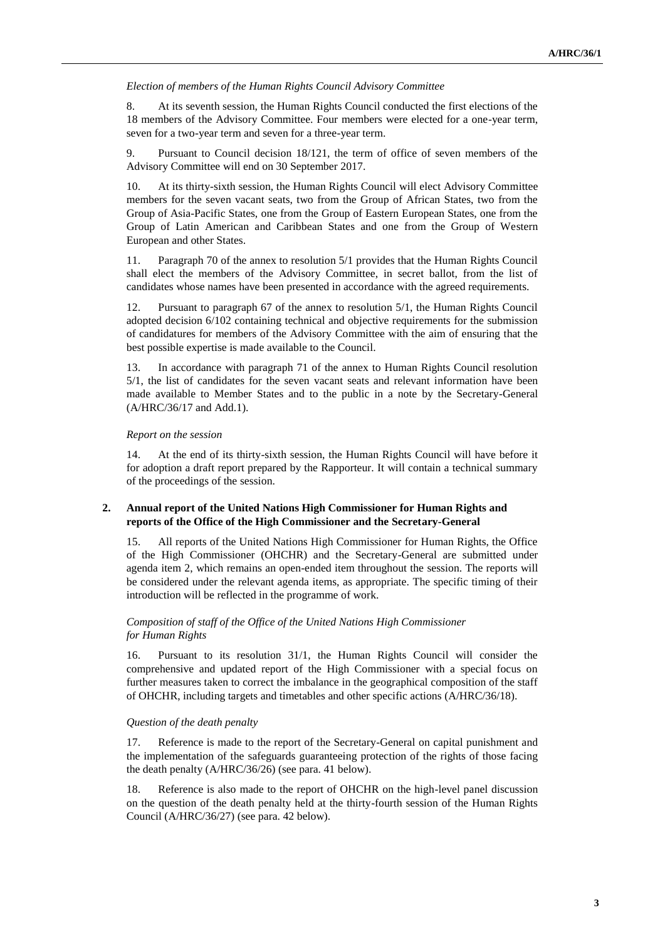#### *Election of members of the Human Rights Council Advisory Committee*

8. At its seventh session, the Human Rights Council conducted the first elections of the 18 members of the Advisory Committee. Four members were elected for a one-year term, seven for a two-year term and seven for a three-year term.

9. Pursuant to Council decision 18/121, the term of office of seven members of the Advisory Committee will end on 30 September 2017.

10. At its thirty-sixth session, the Human Rights Council will elect Advisory Committee members for the seven vacant seats, two from the Group of African States, two from the Group of Asia-Pacific States, one from the Group of Eastern European States, one from the Group of Latin American and Caribbean States and one from the Group of Western European and other States.

11. Paragraph 70 of the annex to resolution 5/1 provides that the Human Rights Council shall elect the members of the Advisory Committee, in secret ballot, from the list of candidates whose names have been presented in accordance with the agreed requirements.

12. Pursuant to paragraph 67 of the annex to resolution 5/1, the Human Rights Council adopted decision 6/102 containing technical and objective requirements for the submission of candidatures for members of the Advisory Committee with the aim of ensuring that the best possible expertise is made available to the Council.

13. In accordance with paragraph 71 of the annex to Human Rights Council resolution 5/1, the list of candidates for the seven vacant seats and relevant information have been made available to Member States and to the public in a note by the Secretary-General (A/HRC/36/17 and Add.1).

#### *Report on the session*

14. At the end of its thirty-sixth session, the Human Rights Council will have before it for adoption a draft report prepared by the Rapporteur. It will contain a technical summary of the proceedings of the session.

## **2. Annual report of the United Nations High Commissioner for Human Rights and reports of the Office of the High Commissioner and the Secretary-General**

15. All reports of the United Nations High Commissioner for Human Rights, the Office of the High Commissioner (OHCHR) and the Secretary-General are submitted under agenda item 2, which remains an open-ended item throughout the session. The reports will be considered under the relevant agenda items, as appropriate. The specific timing of their introduction will be reflected in the programme of work.

## *Composition of staff of the Office of the United Nations High Commissioner for Human Rights*

16. Pursuant to its resolution 31/1, the Human Rights Council will consider the comprehensive and updated report of the High Commissioner with a special focus on further measures taken to correct the imbalance in the geographical composition of the staff of OHCHR, including targets and timetables and other specific actions (A/HRC/36/18).

#### *Question of the death penalty*

17. Reference is made to the report of the Secretary-General on capital punishment and the implementation of the safeguards guaranteeing protection of the rights of those facing the death penalty (A/HRC/36/26) (see para. 41 below).

18. Reference is also made to the report of OHCHR on the high-level panel discussion on the question of the death penalty held at the thirty-fourth session of the Human Rights Council (A/HRC/36/27) (see para. 42 below).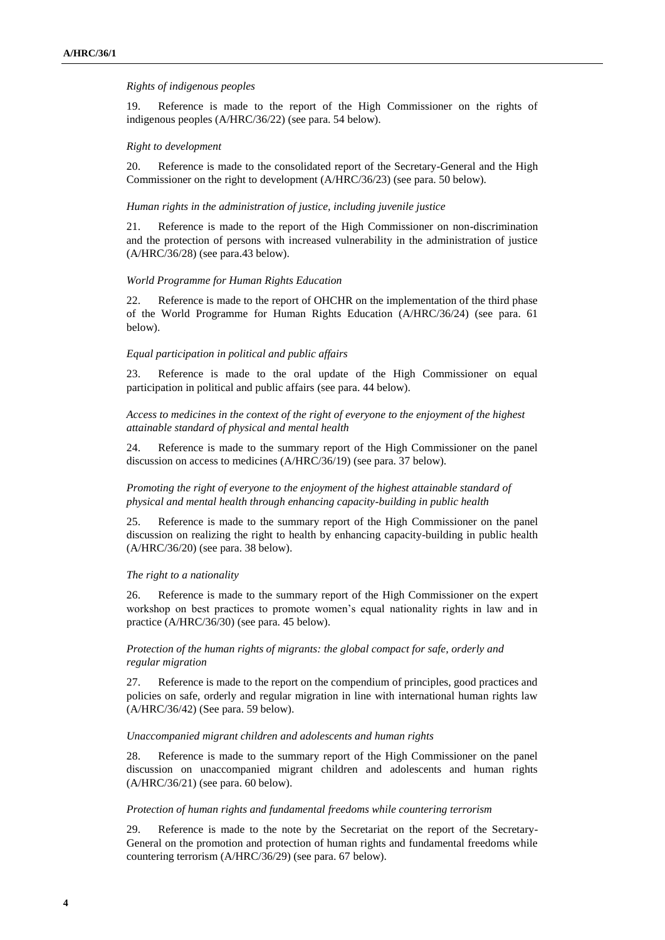#### *Rights of indigenous peoples*

19. Reference is made to the report of the High Commissioner on the rights of indigenous peoples (A/HRC/36/22) (see para. 54 below).

#### *Right to development*

20. Reference is made to the consolidated report of the Secretary-General and the High Commissioner on the right to development (A/HRC/36/23) (see para. 50 below).

#### *Human rights in the administration of justice, including juvenile justice*

21. Reference is made to the report of the High Commissioner on non-discrimination and the protection of persons with increased vulnerability in the administration of justice (A/HRC/36/28) (see para.43 below).

#### *World Programme for Human Rights Education*

22. Reference is made to the report of OHCHR on the implementation of the third phase of the World Programme for Human Rights Education (A/HRC/36/24) (see para. 61 below).

#### *Equal participation in political and public affairs*

23. Reference is made to the oral update of the High Commissioner on equal participation in political and public affairs (see para. 44 below).

*Access to medicines in the context of the right of everyone to the enjoyment of the highest attainable standard of physical and mental health*

24. Reference is made to the summary report of the High Commissioner on the panel discussion on access to medicines (A/HRC/36/19) (see para. 37 below).

*Promoting the right of everyone to the enjoyment of the highest attainable standard of physical and mental health through enhancing capacity-building in public health*

25. Reference is made to the summary report of the High Commissioner on the panel discussion on realizing the right to health by enhancing capacity-building in public health (A/HRC/36/20) (see para. 38 below).

#### *The right to a nationality*

26. Reference is made to the summary report of the High Commissioner on the expert workshop on best practices to promote women's equal nationality rights in law and in practice (A/HRC/36/30) (see para. 45 below).

*Protection of the human rights of migrants: the global compact for safe, orderly and regular migration*

27. Reference is made to the report on the compendium of principles, good practices and policies on safe, orderly and regular migration in line with international human rights law (A/HRC/36/42) (See para. 59 below).

#### *Unaccompanied migrant children and adolescents and human rights*

28. Reference is made to the summary report of the High Commissioner on the panel discussion on unaccompanied migrant children and adolescents and human rights (A/HRC/36/21) (see para. 60 below).

#### *Protection of human rights and fundamental freedoms while countering terrorism*

29. Reference is made to the note by the Secretariat on the report of the Secretary-General on the promotion and protection of human rights and fundamental freedoms while countering terrorism (A/HRC/36/29) (see para. 67 below).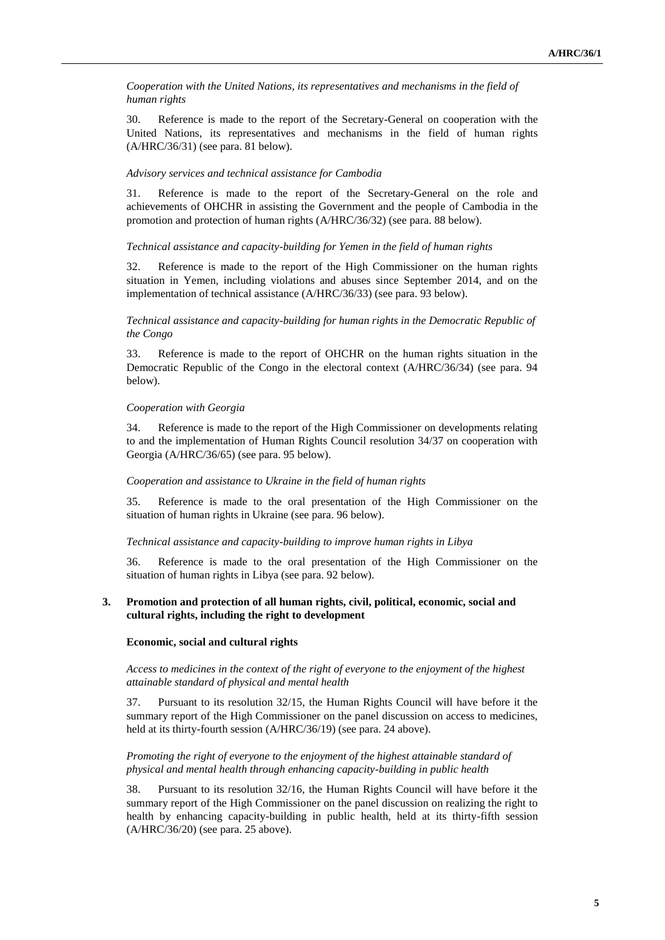*Cooperation with the United Nations, its representatives and mechanisms in the field of human rights*

30. Reference is made to the report of the Secretary-General on cooperation with the United Nations, its representatives and mechanisms in the field of human rights (A/HRC/36/31) (see para. 81 below).

#### *Advisory services and technical assistance for Cambodia*

31. Reference is made to the report of the Secretary-General on the role and achievements of OHCHR in assisting the Government and the people of Cambodia in the promotion and protection of human rights (A/HRC/36/32) (see para. 88 below).

#### *Technical assistance and capacity-building for Yemen in the field of human rights*

32. Reference is made to the report of the High Commissioner on the human rights situation in Yemen, including violations and abuses since September 2014, and on the implementation of technical assistance (A/HRC/36/33) (see para. 93 below).

## *Technical assistance and capacity-building for human rights in the Democratic Republic of the Congo*

33. Reference is made to the report of OHCHR on the human rights situation in the Democratic Republic of the Congo in the electoral context (A/HRC/36/34) (see para. 94 below).

#### *Cooperation with Georgia*

34. Reference is made to the report of the High Commissioner on developments relating to and the implementation of Human Rights Council resolution 34/37 on cooperation with Georgia (A/HRC/36/65) (see para. 95 below).

#### *Cooperation and assistance to Ukraine in the field of human rights*

35. Reference is made to the oral presentation of the High Commissioner on the situation of human rights in Ukraine (see para. 96 below).

#### *Technical assistance and capacity-building to improve human rights in Libya*

36. Reference is made to the oral presentation of the High Commissioner on the situation of human rights in Libya (see para. 92 below).

## **3. Promotion and protection of all human rights, civil, political, economic, social and cultural rights, including the right to development**

#### **Economic, social and cultural rights**

*Access to medicines in the context of the right of everyone to the enjoyment of the highest attainable standard of physical and mental health*

37. Pursuant to its resolution 32/15, the Human Rights Council will have before it the summary report of the High Commissioner on the panel discussion on access to medicines, held at its thirty-fourth session (A/HRC/36/19) (see para. 24 above).

## *Promoting the right of everyone to the enjoyment of the highest attainable standard of physical and mental health through enhancing capacity-building in public health*

38. Pursuant to its resolution 32/16, the Human Rights Council will have before it the summary report of the High Commissioner on the panel discussion on realizing the right to health by enhancing capacity-building in public health, held at its thirty-fifth session (A/HRC/36/20) (see para. 25 above).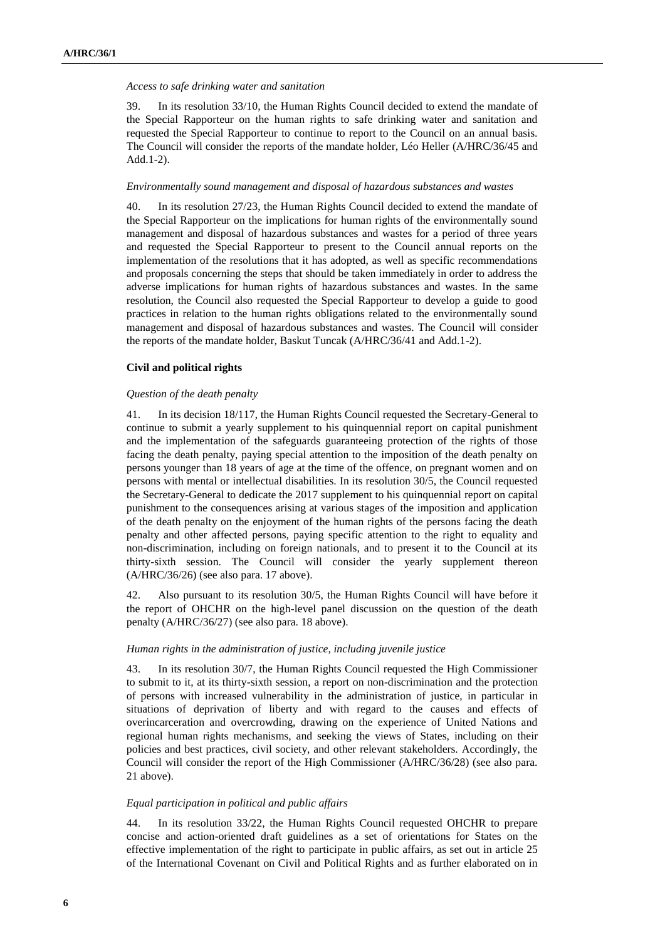#### *Access to safe drinking water and sanitation*

39. In its resolution 33/10, the Human Rights Council decided to extend the mandate of the Special Rapporteur on the human rights to safe drinking water and sanitation and requested the Special Rapporteur to continue to report to the Council on an annual basis. The Council will consider the reports of the mandate holder, Léo Heller (A/HRC/36/45 and Add.1-2).

#### *Environmentally sound management and disposal of hazardous substances and wastes*

40. In its resolution 27/23, the Human Rights Council decided to extend the mandate of the Special Rapporteur on the implications for human rights of the environmentally sound management and disposal of hazardous substances and wastes for a period of three years and requested the Special Rapporteur to present to the Council annual reports on the implementation of the resolutions that it has adopted, as well as specific recommendations and proposals concerning the steps that should be taken immediately in order to address the adverse implications for human rights of hazardous substances and wastes. In the same resolution, the Council also requested the Special Rapporteur to develop a guide to good practices in relation to the human rights obligations related to the environmentally sound management and disposal of hazardous substances and wastes. The Council will consider the reports of the mandate holder, Baskut Tuncak (A/HRC/36/41 and Add.1-2).

#### **Civil and political rights**

#### *Question of the death penalty*

41. In its decision 18/117, the Human Rights Council requested the Secretary-General to continue to submit a yearly supplement to his quinquennial report on capital punishment and the implementation of the safeguards guaranteeing protection of the rights of those facing the death penalty, paying special attention to the imposition of the death penalty on persons younger than 18 years of age at the time of the offence, on pregnant women and on persons with mental or intellectual disabilities. In its resolution 30/5, the Council requested the Secretary-General to dedicate the 2017 supplement to his quinquennial report on capital punishment to the consequences arising at various stages of the imposition and application of the death penalty on the enjoyment of the human rights of the persons facing the death penalty and other affected persons, paying specific attention to the right to equality and non-discrimination, including on foreign nationals, and to present it to the Council at its thirty-sixth session. The Council will consider the yearly supplement thereon (A/HRC/36/26) (see also para. 17 above).

42. Also pursuant to its resolution 30/5, the Human Rights Council will have before it the report of OHCHR on the high-level panel discussion on the question of the death penalty (A/HRC/36/27) (see also para. 18 above).

#### *Human rights in the administration of justice, including juvenile justice*

43. In its resolution 30/7, the Human Rights Council requested the High Commissioner to submit to it, at its thirty-sixth session, a report on non-discrimination and the protection of persons with increased vulnerability in the administration of justice, in particular in situations of deprivation of liberty and with regard to the causes and effects of overincarceration and overcrowding, drawing on the experience of United Nations and regional human rights mechanisms, and seeking the views of States, including on their policies and best practices, civil society, and other relevant stakeholders. Accordingly, the Council will consider the report of the High Commissioner (A/HRC/36/28) (see also para. 21 above).

## *Equal participation in political and public affairs*

44. In its resolution 33/22, the Human Rights Council requested OHCHR to prepare concise and action-oriented draft guidelines as a set of orientations for States on the effective implementation of the right to participate in public affairs, as set out in article 25 of the International Covenant on Civil and Political Rights and as further elaborated on in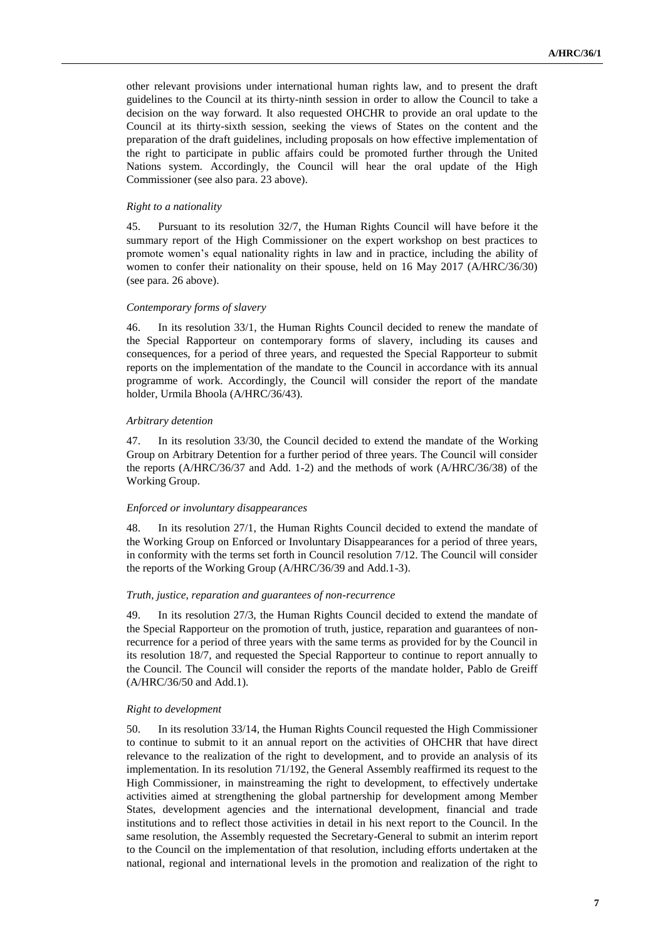other relevant provisions under international human rights law, and to present the draft guidelines to the Council at its thirty-ninth session in order to allow the Council to take a decision on the way forward. It also requested OHCHR to provide an oral update to the Council at its thirty-sixth session, seeking the views of States on the content and the preparation of the draft guidelines, including proposals on how effective implementation of the right to participate in public affairs could be promoted further through the United Nations system. Accordingly, the Council will hear the oral update of the High Commissioner (see also para. 23 above).

#### *Right to a nationality*

45. Pursuant to its resolution 32/7, the Human Rights Council will have before it the summary report of the High Commissioner on the expert workshop on best practices to promote women's equal nationality rights in law and in practice, including the ability of women to confer their nationality on their spouse, held on 16 May 2017 (A/HRC/36/30) (see para. 26 above).

#### *Contemporary forms of slavery*

46. In its resolution 33/1, the Human Rights Council decided to renew the mandate of the Special Rapporteur on contemporary forms of slavery, including its causes and consequences, for a period of three years, and requested the Special Rapporteur to submit reports on the implementation of the mandate to the Council in accordance with its annual programme of work. Accordingly, the Council will consider the report of the mandate holder, Urmila Bhoola (A/HRC/36/43).

#### *Arbitrary detention*

47. In its resolution 33/30, the Council decided to extend the mandate of the Working Group on Arbitrary Detention for a further period of three years. The Council will consider the reports (A/HRC/36/37 and Add. 1-2) and the methods of work (A/HRC/36/38) of the Working Group.

#### *Enforced or involuntary disappearances*

48. In its resolution 27/1, the Human Rights Council decided to extend the mandate of the Working Group on Enforced or Involuntary Disappearances for a period of three years, in conformity with the terms set forth in Council resolution 7/12. The Council will consider the reports of the Working Group (A/HRC/36/39 and Add.1-3).

#### *Truth, justice, reparation and guarantees of non-recurrence*

49. In its resolution 27/3, the Human Rights Council decided to extend the mandate of the Special Rapporteur on the promotion of truth, justice, reparation and guarantees of nonrecurrence for a period of three years with the same terms as provided for by the Council in its resolution 18/7, and requested the Special Rapporteur to continue to report annually to the Council. The Council will consider the reports of the mandate holder, Pablo de Greiff (A/HRC/36/50 and Add.1).

#### *Right to development*

50. In its resolution 33/14, the Human Rights Council requested the High Commissioner to continue to submit to it an annual report on the activities of OHCHR that have direct relevance to the realization of the right to development, and to provide an analysis of its implementation. In its resolution 71/192, the General Assembly reaffirmed its request to the High Commissioner, in mainstreaming the right to development, to effectively undertake activities aimed at strengthening the global partnership for development among Member States, development agencies and the international development, financial and trade institutions and to reflect those activities in detail in his next report to the Council. In the same resolution, the Assembly requested the Secretary-General to submit an interim report to the Council on the implementation of that resolution, including efforts undertaken at the national, regional and international levels in the promotion and realization of the right to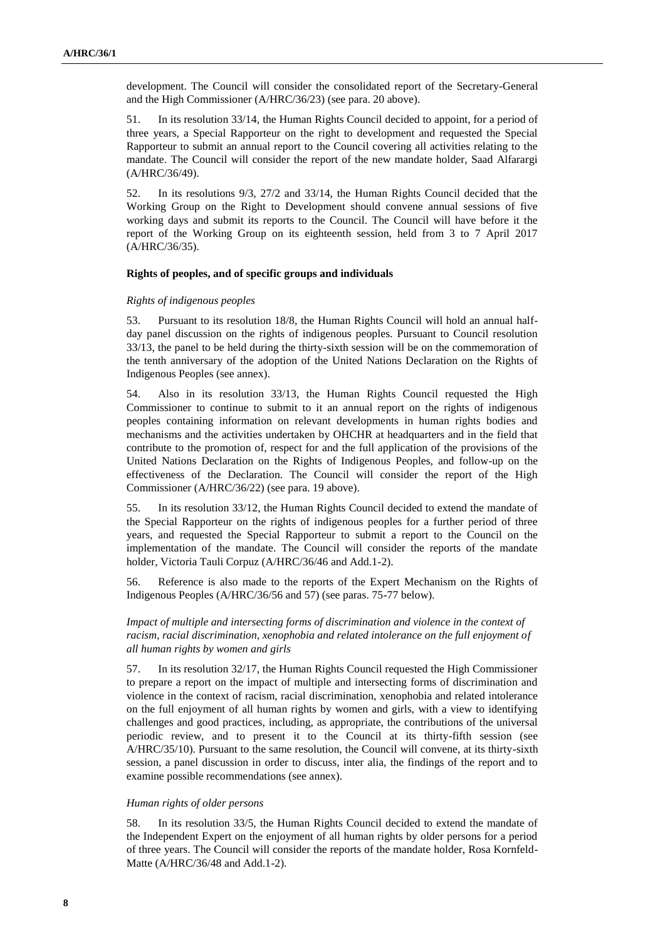development. The Council will consider the consolidated report of the Secretary-General and the High Commissioner (A/HRC/36/23) (see para. 20 above).

51. In its resolution 33/14, the Human Rights Council decided to appoint, for a period of three years, a Special Rapporteur on the right to development and requested the Special Rapporteur to submit an annual report to the Council covering all activities relating to the mandate. The Council will consider the report of the new mandate holder, Saad Alfarargi (A/HRC/36/49).

52. In its resolutions 9/3, 27/2 and 33/14, the Human Rights Council decided that the Working Group on the Right to Development should convene annual sessions of five working days and submit its reports to the Council. The Council will have before it the report of the Working Group on its eighteenth session, held from 3 to 7 April 2017 (A/HRC/36/35).

## **Rights of peoples, and of specific groups and individuals**

#### *Rights of indigenous peoples*

53. Pursuant to its resolution 18/8, the Human Rights Council will hold an annual halfday panel discussion on the rights of indigenous peoples. Pursuant to Council resolution 33/13, the panel to be held during the thirty-sixth session will be on the commemoration of the tenth anniversary of the adoption of the United Nations Declaration on the Rights of Indigenous Peoples (see annex).

54. Also in its resolution 33/13, the Human Rights Council requested the High Commissioner to continue to submit to it an annual report on the rights of indigenous peoples containing information on relevant developments in human rights bodies and mechanisms and the activities undertaken by OHCHR at headquarters and in the field that contribute to the promotion of, respect for and the full application of the provisions of the United Nations Declaration on the Rights of Indigenous Peoples, and follow-up on the effectiveness of the Declaration. The Council will consider the report of the High Commissioner (A/HRC/36/22) (see para. 19 above).

55. In its resolution 33/12, the Human Rights Council decided to extend the mandate of the Special Rapporteur on the rights of indigenous peoples for a further period of three years, and requested the Special Rapporteur to submit a report to the Council on the implementation of the mandate. The Council will consider the reports of the mandate holder, Victoria Tauli Corpuz (A/HRC/36/46 and Add.1-2).

56. Reference is also made to the reports of the Expert Mechanism on the Rights of Indigenous Peoples (A/HRC/36/56 and 57) (see paras. 75-77 below).

*Impact of multiple and intersecting forms of discrimination and violence in the context of racism, racial discrimination, xenophobia and related intolerance on the full enjoyment of all human rights by women and girls*

57. In its resolution 32/17, the Human Rights Council requested the High Commissioner to prepare a report on the impact of multiple and intersecting forms of discrimination and violence in the context of racism, racial discrimination, xenophobia and related intolerance on the full enjoyment of all human rights by women and girls, with a view to identifying challenges and good practices, including, as appropriate, the contributions of the universal periodic review, and to present it to the Council at its thirty-fifth session (see A/HRC/35/10). Pursuant to the same resolution, the Council will convene, at its thirty-sixth session, a panel discussion in order to discuss, inter alia, the findings of the report and to examine possible recommendations (see annex).

#### *Human rights of older persons*

58. In its resolution 33/5, the Human Rights Council decided to extend the mandate of the Independent Expert on the enjoyment of all human rights by older persons for a period of three years. The Council will consider the reports of the mandate holder, Rosa Kornfeld-Matte (A/HRC/36/48 and Add.1-2).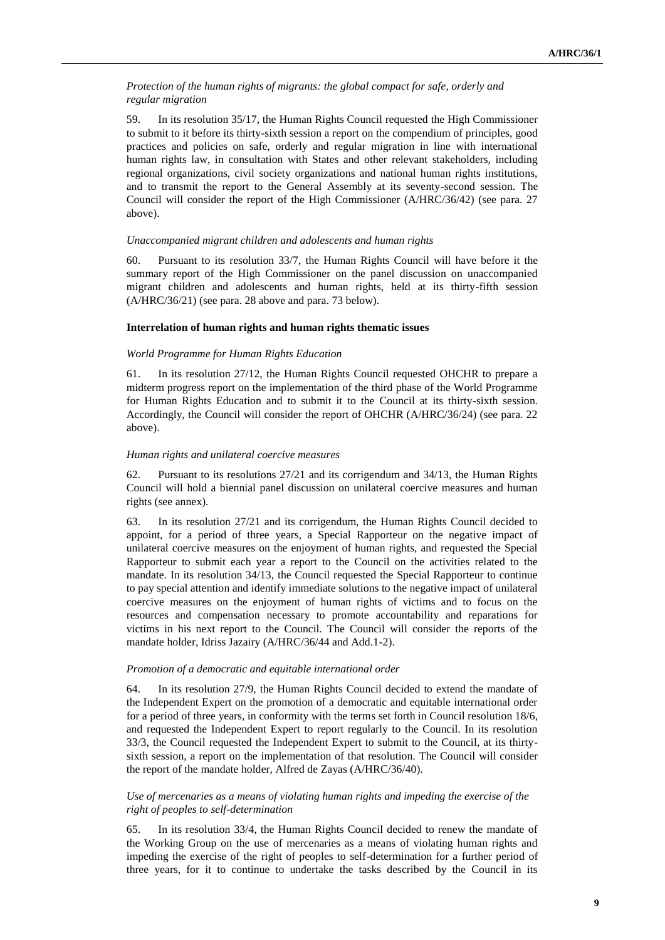## *Protection of the human rights of migrants: the global compact for safe, orderly and regular migration*

59. In its resolution 35/17, the Human Rights Council requested the High Commissioner to submit to it before its thirty-sixth session a report on the compendium of principles, good practices and policies on safe, orderly and regular migration in line with international human rights law, in consultation with States and other relevant stakeholders, including regional organizations, civil society organizations and national human rights institutions, and to transmit the report to the General Assembly at its seventy-second session. The Council will consider the report of the High Commissioner (A/HRC/36/42) (see para. 27 above).

## *Unaccompanied migrant children and adolescents and human rights*

60. Pursuant to its resolution 33/7, the Human Rights Council will have before it the summary report of the High Commissioner on the panel discussion on unaccompanied migrant children and adolescents and human rights, held at its thirty-fifth session (A/HRC/36/21) (see para. 28 above and para. 73 below).

## **Interrelation of human rights and human rights thematic issues**

## *World Programme for Human Rights Education*

61. In its resolution 27/12, the Human Rights Council requested OHCHR to prepare a midterm progress report on the implementation of the third phase of the World Programme for Human Rights Education and to submit it to the Council at its thirty-sixth session. Accordingly, the Council will consider the report of OHCHR (A/HRC/36/24) (see para. 22 above).

## *Human rights and unilateral coercive measures*

62. Pursuant to its resolutions 27/21 and its corrigendum and 34/13, the Human Rights Council will hold a biennial panel discussion on unilateral coercive measures and human rights (see annex).

63. In its resolution 27/21 and its corrigendum, the Human Rights Council decided to appoint, for a period of three years, a Special Rapporteur on the negative impact of unilateral coercive measures on the enjoyment of human rights, and requested the Special Rapporteur to submit each year a report to the Council on the activities related to the mandate. In its resolution 34/13, the Council requested the Special Rapporteur to continue to pay special attention and identify immediate solutions to the negative impact of unilateral coercive measures on the enjoyment of human rights of victims and to focus on the resources and compensation necessary to promote accountability and reparations for victims in his next report to the Council. The Council will consider the reports of the mandate holder, Idriss Jazairy (A/HRC/36/44 and Add.1-2).

## *Promotion of a democratic and equitable international order*

64. In its resolution 27/9, the Human Rights Council decided to extend the mandate of the Independent Expert on the promotion of a democratic and equitable international order for a period of three years, in conformity with the terms set forth in Council resolution 18/6, and requested the Independent Expert to report regularly to the Council. In its resolution 33/3, the Council requested the Independent Expert to submit to the Council, at its thirtysixth session, a report on the implementation of that resolution. The Council will consider the report of the mandate holder, Alfred de Zayas (A/HRC/36/40).

## *Use of mercenaries as a means of violating human rights and impeding the exercise of the right of peoples to self-determination*

65. In its resolution 33/4, the Human Rights Council decided to renew the mandate of the Working Group on the use of mercenaries as a means of violating human rights and impeding the exercise of the right of peoples to self-determination for a further period of three years, for it to continue to undertake the tasks described by the Council in its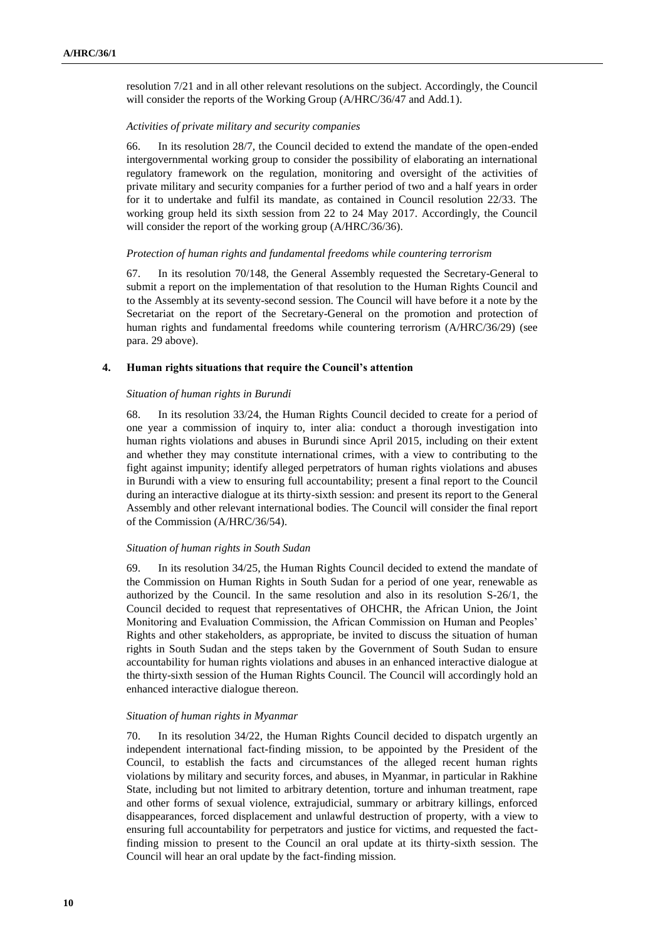resolution 7/21 and in all other relevant resolutions on the subject. Accordingly, the Council will consider the reports of the Working Group (A/HRC/36/47 and Add.1).

#### *Activities of private military and security companies*

66. In its resolution 28/7, the Council decided to extend the mandate of the open-ended intergovernmental working group to consider the possibility of elaborating an international regulatory framework on the regulation, monitoring and oversight of the activities of private military and security companies for a further period of two and a half years in order for it to undertake and fulfil its mandate, as contained in Council resolution 22/33. The working group held its sixth session from 22 to 24 May 2017. Accordingly, the Council will consider the report of the working group (A/HRC/36/36).

#### *Protection of human rights and fundamental freedoms while countering terrorism*

67. In its resolution 70/148, the General Assembly requested the Secretary-General to submit a report on the implementation of that resolution to the Human Rights Council and to the Assembly at its seventy-second session. The Council will have before it a note by the Secretariat on the report of the Secretary-General on the promotion and protection of human rights and fundamental freedoms while countering terrorism (A/HRC/36/29) (see para. 29 above).

#### **4. Human rights situations that require the Council's attention**

#### *Situation of human rights in Burundi*

68. In its resolution 33/24, the Human Rights Council decided to create for a period of one year a commission of inquiry to, inter alia: conduct a thorough investigation into human rights violations and abuses in Burundi since April 2015, including on their extent and whether they may constitute international crimes, with a view to contributing to the fight against impunity; identify alleged perpetrators of human rights violations and abuses in Burundi with a view to ensuring full accountability; present a final report to the Council during an interactive dialogue at its thirty-sixth session: and present its report to the General Assembly and other relevant international bodies. The Council will consider the final report of the Commission (A/HRC/36/54).

#### *Situation of human rights in South Sudan*

69. In its resolution 34/25, the Human Rights Council decided to extend the mandate of the Commission on Human Rights in South Sudan for a period of one year, renewable as authorized by the Council. In the same resolution and also in its resolution S-26/1, the Council decided to request that representatives of OHCHR, the African Union, the Joint Monitoring and Evaluation Commission, the African Commission on Human and Peoples' Rights and other stakeholders, as appropriate, be invited to discuss the situation of human rights in South Sudan and the steps taken by the Government of South Sudan to ensure accountability for human rights violations and abuses in an enhanced interactive dialogue at the thirty-sixth session of the Human Rights Council. The Council will accordingly hold an enhanced interactive dialogue thereon.

#### *Situation of human rights in Myanmar*

70. In its resolution 34/22, the Human Rights Council decided to dispatch urgently an independent international fact-finding mission, to be appointed by the President of the Council, to establish the facts and circumstances of the alleged recent human rights violations by military and security forces, and abuses, in Myanmar, in particular in Rakhine State, including but not limited to arbitrary detention, torture and inhuman treatment, rape and other forms of sexual violence, extrajudicial, summary or arbitrary killings, enforced disappearances, forced displacement and unlawful destruction of property, with a view to ensuring full accountability for perpetrators and justice for victims, and requested the factfinding mission to present to the Council an oral update at its thirty-sixth session. The Council will hear an oral update by the fact-finding mission.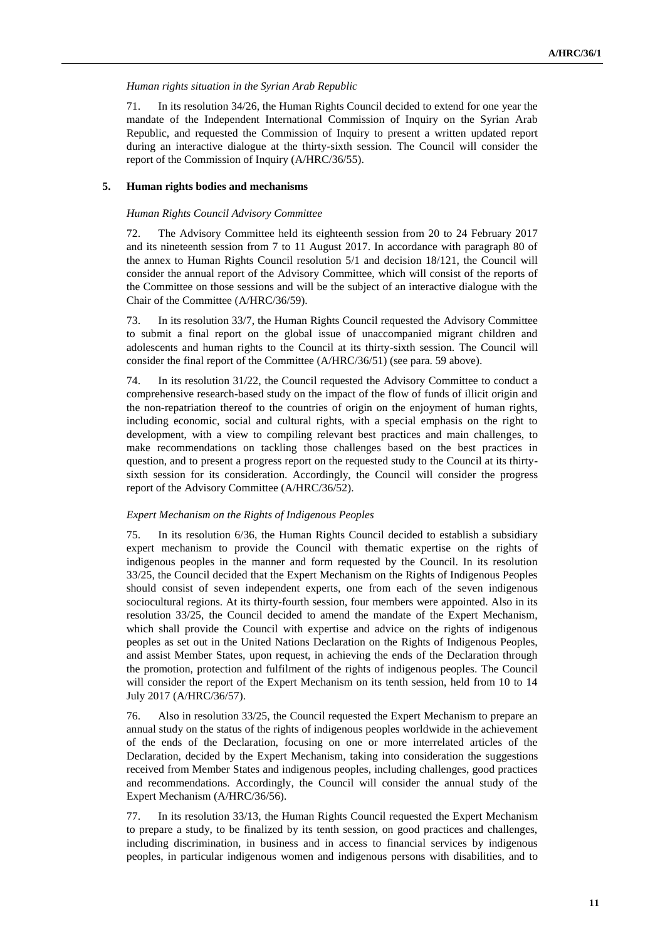## *Human rights situation in the Syrian Arab Republic*

71. In its resolution 34/26, the Human Rights Council decided to extend for one year the mandate of the Independent International Commission of Inquiry on the Syrian Arab Republic, and requested the Commission of Inquiry to present a written updated report during an interactive dialogue at the thirty-sixth session. The Council will consider the report of the Commission of Inquiry (A/HRC/36/55).

## **5. Human rights bodies and mechanisms**

## *Human Rights Council Advisory Committee*

72. The Advisory Committee held its eighteenth session from 20 to 24 February 2017 and its nineteenth session from 7 to 11 August 2017. In accordance with paragraph 80 of the annex to Human Rights Council resolution 5/1 and decision 18/121, the Council will consider the annual report of the Advisory Committee, which will consist of the reports of the Committee on those sessions and will be the subject of an interactive dialogue with the Chair of the Committee (A/HRC/36/59).

73. In its resolution 33/7, the Human Rights Council requested the Advisory Committee to submit a final report on the global issue of unaccompanied migrant children and adolescents and human rights to the Council at its thirty-sixth session. The Council will consider the final report of the Committee (A/HRC/36/51) (see para. 59 above).

74. In its resolution 31/22, the Council requested the Advisory Committee to conduct a comprehensive research-based study on the impact of the flow of funds of illicit origin and the non-repatriation thereof to the countries of origin on the enjoyment of human rights, including economic, social and cultural rights, with a special emphasis on the right to development, with a view to compiling relevant best practices and main challenges, to make recommendations on tackling those challenges based on the best practices in question, and to present a progress report on the requested study to the Council at its thirtysixth session for its consideration. Accordingly, the Council will consider the progress report of the Advisory Committee (A/HRC/36/52).

## *Expert Mechanism on the Rights of Indigenous Peoples*

75. In its resolution 6/36, the Human Rights Council decided to establish a subsidiary expert mechanism to provide the Council with thematic expertise on the rights of indigenous peoples in the manner and form requested by the Council. In its resolution 33/25, the Council decided that the Expert Mechanism on the Rights of Indigenous Peoples should consist of seven independent experts, one from each of the seven indigenous sociocultural regions. At its thirty-fourth session, four members were appointed. Also in its resolution 33/25, the Council decided to amend the mandate of the Expert Mechanism, which shall provide the Council with expertise and advice on the rights of indigenous peoples as set out in the United Nations Declaration on the Rights of Indigenous Peoples, and assist Member States, upon request, in achieving the ends of the Declaration through the promotion, protection and fulfilment of the rights of indigenous peoples. The Council will consider the report of the Expert Mechanism on its tenth session, held from 10 to 14 July 2017 (A/HRC/36/57).

76. Also in resolution 33/25, the Council requested the Expert Mechanism to prepare an annual study on the status of the rights of indigenous peoples worldwide in the achievement of the ends of the Declaration, focusing on one or more interrelated articles of the Declaration, decided by the Expert Mechanism, taking into consideration the suggestions received from Member States and indigenous peoples, including challenges, good practices and recommendations. Accordingly, the Council will consider the annual study of the Expert Mechanism (A/HRC/36/56).

77. In its resolution 33/13, the Human Rights Council requested the Expert Mechanism to prepare a study, to be finalized by its tenth session, on good practices and challenges, including discrimination, in business and in access to financial services by indigenous peoples, in particular indigenous women and indigenous persons with disabilities, and to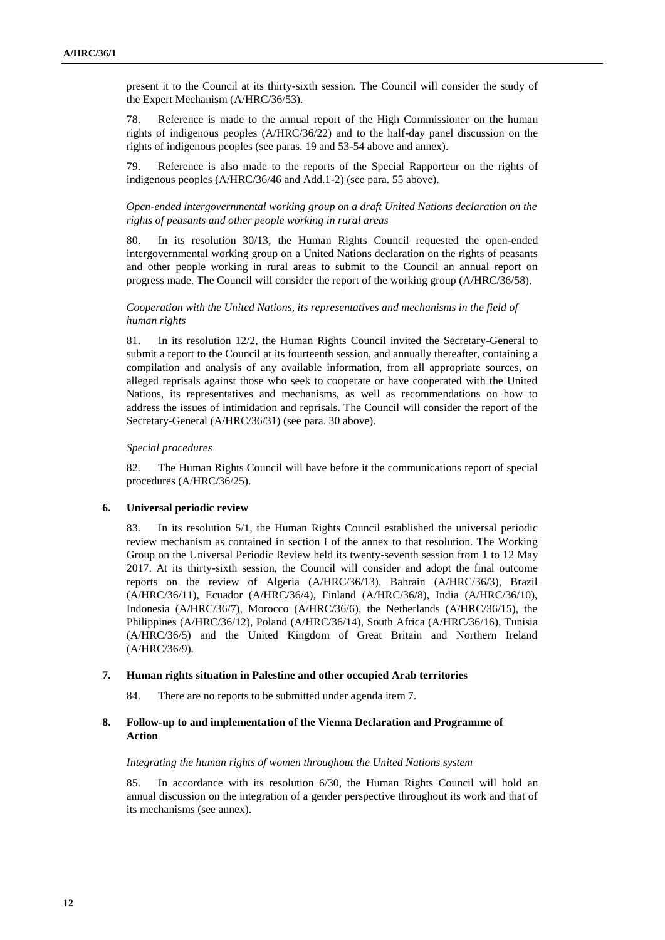present it to the Council at its thirty-sixth session. The Council will consider the study of the Expert Mechanism (A/HRC/36/53).

78. Reference is made to the annual report of the High Commissioner on the human rights of indigenous peoples (A/HRC/36/22) and to the half-day panel discussion on the rights of indigenous peoples (see paras. 19 and 53-54 above and annex).

79. Reference is also made to the reports of the Special Rapporteur on the rights of indigenous peoples (A/HRC/36/46 and Add.1-2) (see para. 55 above).

## *Open-ended intergovernmental working group on a draft United Nations declaration on the rights of peasants and other people working in rural areas*

80. In its resolution 30/13, the Human Rights Council requested the open-ended intergovernmental working group on a United Nations declaration on the rights of peasants and other people working in rural areas to submit to the Council an annual report on progress made. The Council will consider the report of the working group (A/HRC/36/58).

## *Cooperation with the United Nations, its representatives and mechanisms in the field of human rights*

81. In its resolution 12/2, the Human Rights Council invited the Secretary-General to submit a report to the Council at its fourteenth session, and annually thereafter, containing a compilation and analysis of any available information, from all appropriate sources, on alleged reprisals against those who seek to cooperate or have cooperated with the United Nations, its representatives and mechanisms, as well as recommendations on how to address the issues of intimidation and reprisals. The Council will consider the report of the Secretary-General (A/HRC/36/31) (see para. 30 above).

#### *Special procedures*

82. The Human Rights Council will have before it the communications report of special procedures (A/HRC/36/25).

## **6. Universal periodic review**

83. In its resolution 5/1, the Human Rights Council established the universal periodic review mechanism as contained in section I of the annex to that resolution. The Working Group on the Universal Periodic Review held its twenty-seventh session from 1 to 12 May 2017. At its thirty-sixth session, the Council will consider and adopt the final outcome reports on the review of Algeria (A/HRC/36/13), Bahrain (A/HRC/36/3), Brazil (A/HRC/36/11), Ecuador (A/HRC/36/4), Finland (A/HRC/36/8), India (A/HRC/36/10), Indonesia (A/HRC/36/7), Morocco (A/HRC/36/6), the Netherlands (A/HRC/36/15), the Philippines (A/HRC/36/12), Poland (A/HRC/36/14), South Africa (A/HRC/36/16), Tunisia (A/HRC/36/5) and the United Kingdom of Great Britain and Northern Ireland (A/HRC/36/9).

#### **7. Human rights situation in Palestine and other occupied Arab territories**

84. There are no reports to be submitted under agenda item 7.

## **8. Follow-up to and implementation of the Vienna Declaration and Programme of Action**

#### *Integrating the human rights of women throughout the United Nations system*

85. In accordance with its resolution 6/30, the Human Rights Council will hold an annual discussion on the integration of a gender perspective throughout its work and that of its mechanisms (see annex).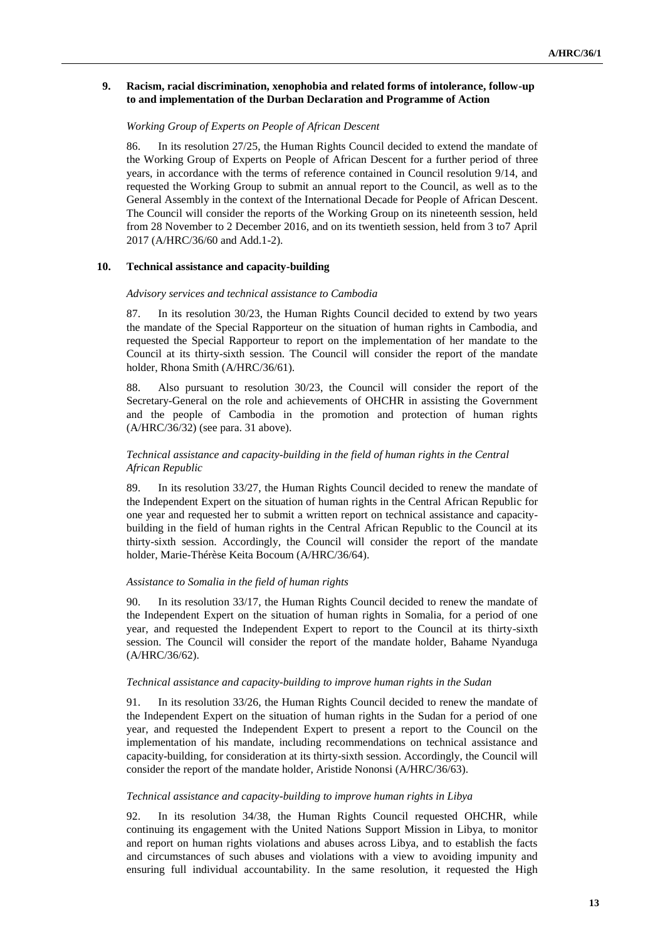## **9. Racism, racial discrimination, xenophobia and related forms of intolerance, follow-up to and implementation of the Durban Declaration and Programme of Action**

## *Working Group of Experts on People of African Descent*

86. In its resolution 27/25, the Human Rights Council decided to extend the mandate of the Working Group of Experts on People of African Descent for a further period of three years, in accordance with the terms of reference contained in Council resolution 9/14, and requested the Working Group to submit an annual report to the Council, as well as to the General Assembly in the context of the International Decade for People of African Descent. The Council will consider the reports of the Working Group on its nineteenth session, held from 28 November to 2 December 2016, and on its twentieth session, held from 3 to7 April 2017 (A/HRC/36/60 and Add.1-2).

#### **10. Technical assistance and capacity-building**

#### *Advisory services and technical assistance to Cambodia*

87. In its resolution 30/23, the Human Rights Council decided to extend by two years the mandate of the Special Rapporteur on the situation of human rights in Cambodia, and requested the Special Rapporteur to report on the implementation of her mandate to the Council at its thirty-sixth session. The Council will consider the report of the mandate holder, Rhona Smith (A/HRC/36/61).

88. Also pursuant to resolution 30/23, the Council will consider the report of the Secretary-General on the role and achievements of OHCHR in assisting the Government and the people of Cambodia in the promotion and protection of human rights (A/HRC/36/32) (see para. 31 above).

## *Technical assistance and capacity-building in the field of human rights in the Central African Republic*

89. In its resolution 33/27, the Human Rights Council decided to renew the mandate of the Independent Expert on the situation of human rights in the Central African Republic for one year and requested her to submit a written report on technical assistance and capacitybuilding in the field of human rights in the Central African Republic to the Council at its thirty-sixth session. Accordingly, the Council will consider the report of the mandate holder, Marie-Thérèse Keita Bocoum (A/HRC/36/64).

## *Assistance to Somalia in the field of human rights*

90. In its resolution 33/17, the Human Rights Council decided to renew the mandate of the Independent Expert on the situation of human rights in Somalia, for a period of one year, and requested the Independent Expert to report to the Council at its thirty-sixth session. The Council will consider the report of the mandate holder, Bahame Nyanduga (A/HRC/36/62).

#### *Technical assistance and capacity-building to improve human rights in the Sudan*

91. In its resolution 33/26, the Human Rights Council decided to renew the mandate of the Independent Expert on the situation of human rights in the Sudan for a period of one year, and requested the Independent Expert to present a report to the Council on the implementation of his mandate, including recommendations on technical assistance and capacity-building, for consideration at its thirty-sixth session. Accordingly, the Council will consider the report of the mandate holder, Aristide Nononsi (A/HRC/36/63).

#### *Technical assistance and capacity-building to improve human rights in Libya*

92. In its resolution 34/38, the Human Rights Council requested OHCHR, while continuing its engagement with the United Nations Support Mission in Libya, to monitor and report on human rights violations and abuses across Libya, and to establish the facts and circumstances of such abuses and violations with a view to avoiding impunity and ensuring full individual accountability. In the same resolution, it requested the High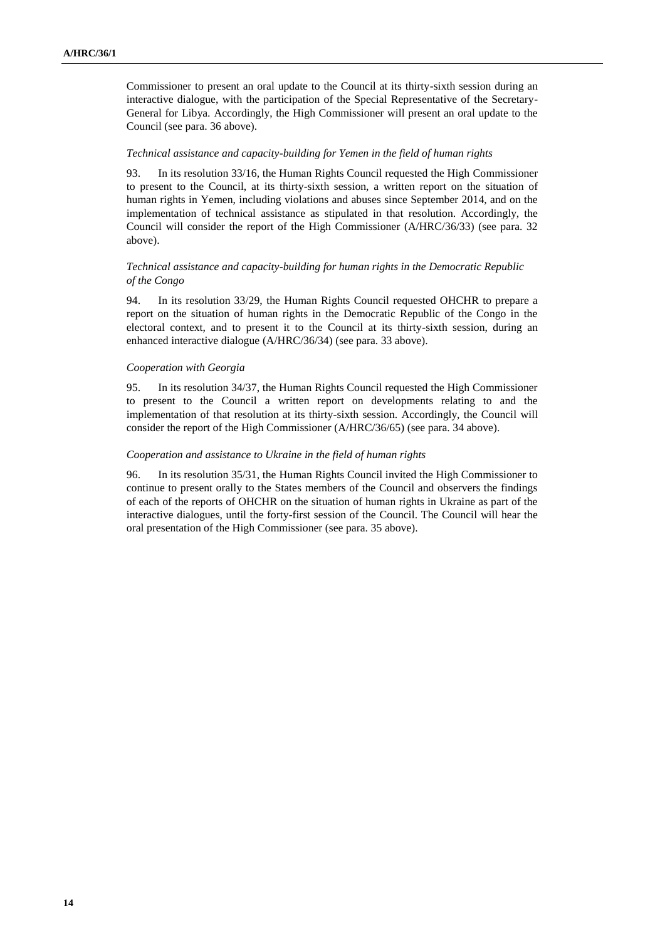Commissioner to present an oral update to the Council at its thirty-sixth session during an interactive dialogue, with the participation of the Special Representative of the Secretary-General for Libya. Accordingly, the High Commissioner will present an oral update to the Council (see para. 36 above).

#### *Technical assistance and capacity-building for Yemen in the field of human rights*

93. In its resolution 33/16, the Human Rights Council requested the High Commissioner to present to the Council, at its thirty-sixth session, a written report on the situation of human rights in Yemen, including violations and abuses since September 2014, and on the implementation of technical assistance as stipulated in that resolution. Accordingly, the Council will consider the report of the High Commissioner (A/HRC/36/33) (see para. 32 above).

## *Technical assistance and capacity-building for human rights in the Democratic Republic of the Congo*

94. In its resolution 33/29, the Human Rights Council requested OHCHR to prepare a report on the situation of human rights in the Democratic Republic of the Congo in the electoral context, and to present it to the Council at its thirty-sixth session, during an enhanced interactive dialogue (A/HRC/36/34) (see para. 33 above).

#### *Cooperation with Georgia*

95. In its resolution 34/37, the Human Rights Council requested the High Commissioner to present to the Council a written report on developments relating to and the implementation of that resolution at its thirty-sixth session. Accordingly, the Council will consider the report of the High Commissioner (A/HRC/36/65) (see para. 34 above).

#### *Cooperation and assistance to Ukraine in the field of human rights*

96. In its resolution 35/31, the Human Rights Council invited the High Commissioner to continue to present orally to the States members of the Council and observers the findings of each of the reports of OHCHR on the situation of human rights in Ukraine as part of the interactive dialogues, until the forty-first session of the Council. The Council will hear the oral presentation of the High Commissioner (see para. 35 above).